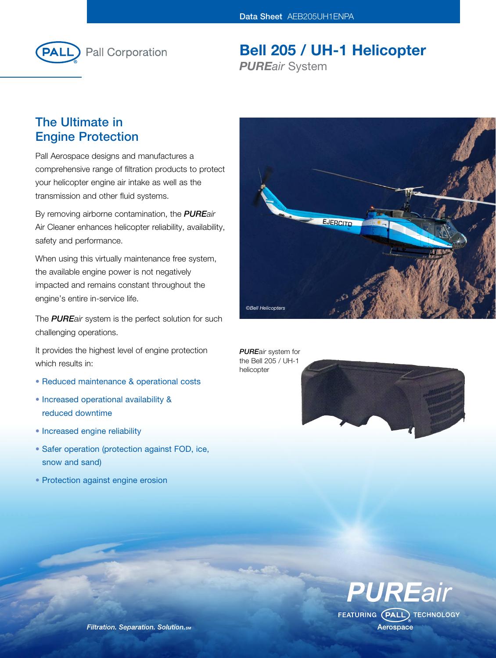

Bell 205 / UH-1 Helicopter *PUREair* System

# The Ultimate in Engine Protection

Pall Aerospace designs and manufactures a comprehensive range of filtration products to protect your helicopter engine air intake as well as the transmission and other fluid systems.

By removing airborne contamination, the *PUREair* Air Cleaner enhances helicopter reliability, availability, safety and performance.

When using this virtually maintenance free system, the available engine power is not negatively impacted and remains constant throughout the engine's entire in-service life.

The *PUREair* system is the perfect solution for such challenging operations.

It provides the highest level of engine protection which results in:

- Reduced maintenance & operational costs
- Increased operational availability & reduced downtime
- Increased engine reliability
- Safer operation (protection against FOD, ice, snow and sand)
- Protection against engine erosion



*PUREair* system for the Bell 205 / UH-1 helicopter





Filtration. Separation. Solution. SM